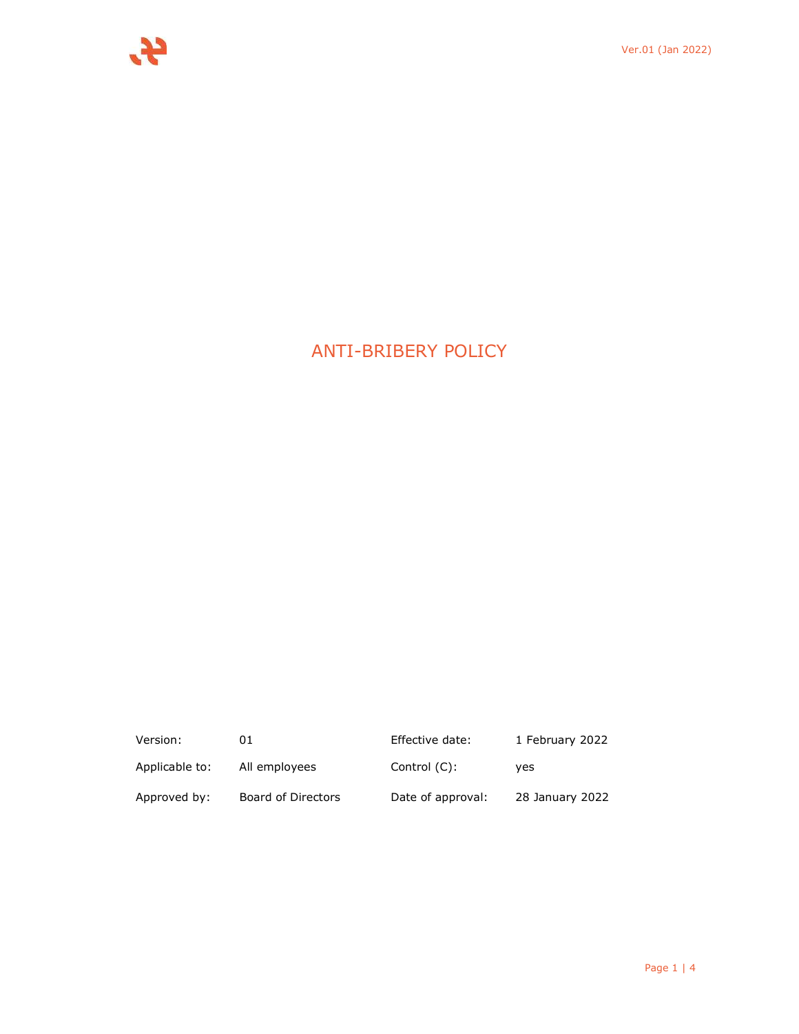# ANTI-BRIBERY POLICY

| Version:       | 01                 | Effective date:   | 1 February 2022 |
|----------------|--------------------|-------------------|-----------------|
| Applicable to: | All employees      | Control (C):      | ves             |
| Approved by:   | Board of Directors | Date of approval: | 28 January 2022 |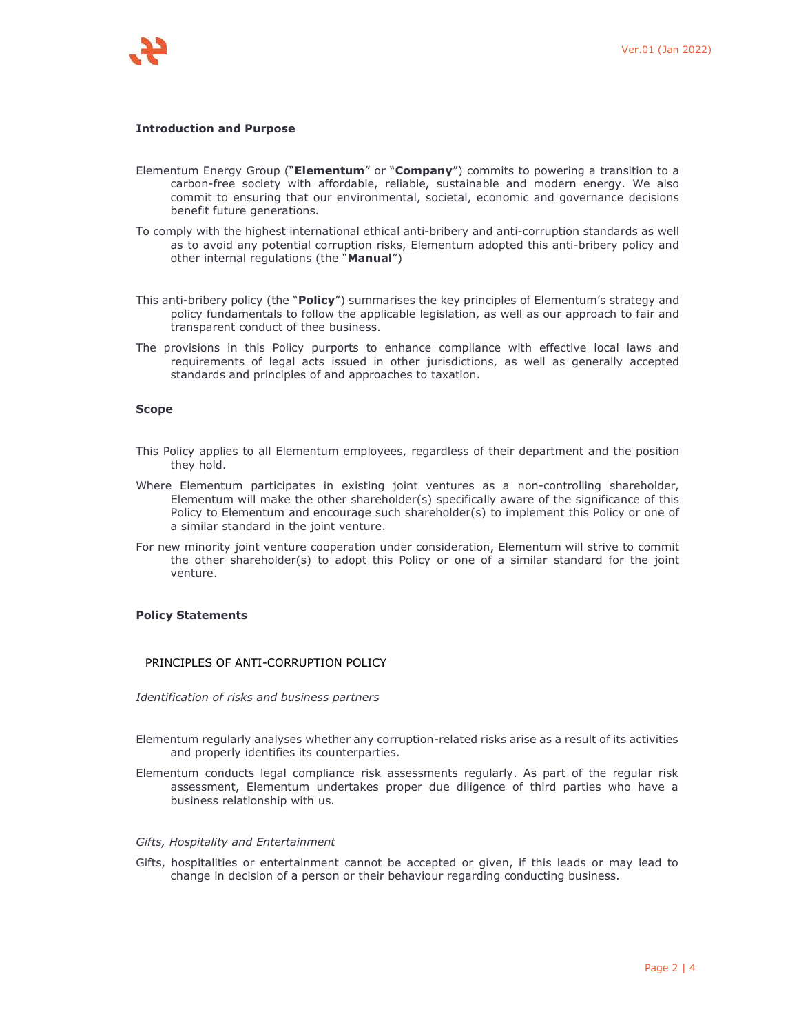

## **Introduction and Purpose**

- Elementum Energy Group ("**Elementum**" or "**Company**") commits to powering a transition to a carbon-free society with affordable, reliable, sustainable and modern energy. We also commit to ensuring that our environmental, societal, economic and governance decisions benefit future generations.
- To comply with the highest international ethical anti-bribery and anti-corruption standards as well as to avoid any potential corruption risks, Elementum adopted this anti-bribery policy and other internal regulations (the "**Manual**")
- This anti-bribery policy (the "**Policy**") summarises the key principles of Elementum's strategy and policy fundamentals to follow the applicable legislation, as well as our approach to fair and transparent conduct of thee business.
- The provisions in this Policy purports to enhance compliance with effective local laws and requirements of legal acts issued in other jurisdictions, as well as generally accepted standards and principles of and approaches to taxation.

## **Scope**

- This Policy applies to all Elementum employees, regardless of their department and the position they hold.
- Where Elementum participates in existing joint ventures as a non-controlling shareholder, Elementum will make the other shareholder(s) specifically aware of the significance of this Policy to Elementum and encourage such shareholder(s) to implement this Policy or one of a similar standard in the joint venture.
- For new minority joint venture cooperation under consideration, Elementum will strive to commit the other shareholder(s) to adopt this Policy or one of a similar standard for the joint venture.

## **Policy Statements**

# PRINCIPLES OF ANTI-CORRUPTION POLICY

*Identification of risks and business partners* 

- Elementum regularly analyses whether any corruption-related risks arise as a result of its activities and properly identifies its counterparties.
- Elementum conducts legal compliance risk assessments regularly. As part of the regular risk assessment, Elementum undertakes proper due diligence of third parties who have a business relationship with us.

#### *Gifts, Hospitality and Entertainment*

Gifts, hospitalities or entertainment cannot be accepted or given, if this leads or may lead to change in decision of a person or their behaviour regarding conducting business.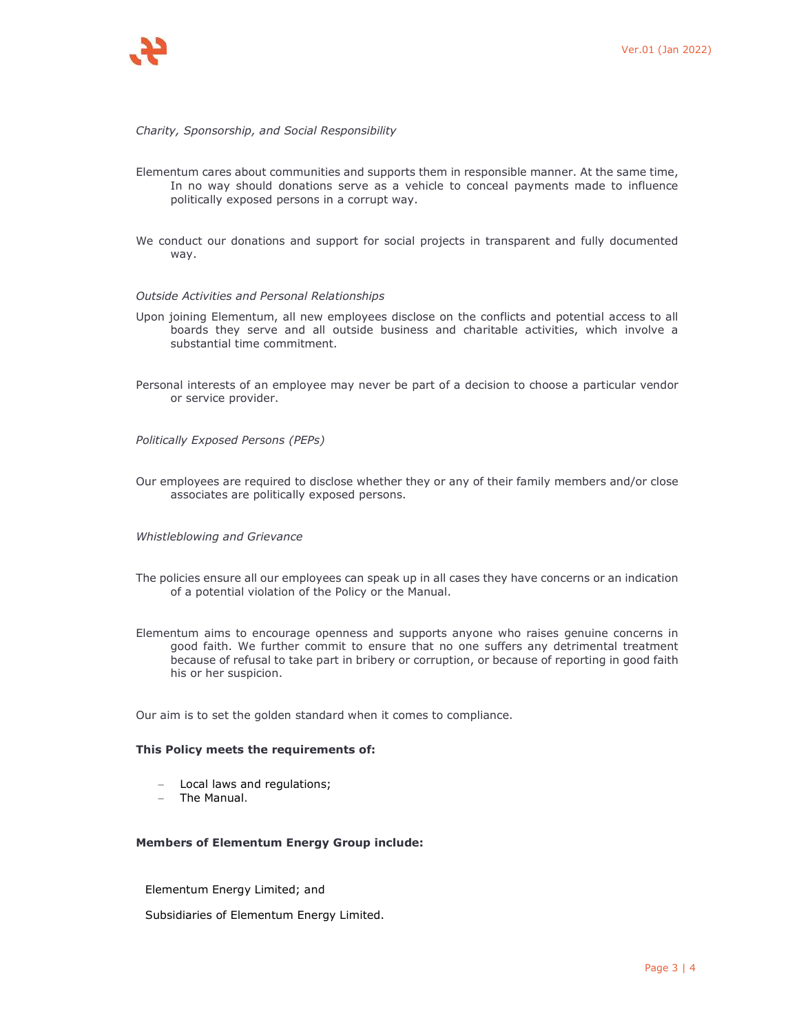## *Charity, Sponsorship, and Social Responsibility*

- Elementum cares about communities and supports them in responsible manner. At the same time, In no way should donations serve as a vehicle to conceal payments made to influence politically exposed persons in a corrupt way.
- We conduct our donations and support for social projects in transparent and fully documented way.

#### *Outside Activities and Personal Relationships*

- Upon joining Elementum, all new employees disclose on the conflicts and potential access to all boards they serve and all outside business and charitable activities, which involve a substantial time commitment.
- Personal interests of an employee may never be part of a decision to choose a particular vendor or service provider.

*Politically Exposed Persons (PEPs)* 

- Our employees are required to disclose whether they or any of their family members and/or close associates are politically exposed persons.
- *Whistleblowing and Grievance*
- The policies ensure all our employees can speak up in all cases they have concerns or an indication of a potential violation of the Policy or the Manual.
- Elementum aims to encourage openness and supports anyone who raises genuine concerns in good faith. We further commit to ensure that no one suffers any detrimental treatment because of refusal to take part in bribery or corruption, or because of reporting in good faith his or her suspicion.

Our aim is to set the golden standard when it comes to compliance.

## **This Policy meets the requirements of:**

- Local laws and regulations;
- The Manual.

### **Members of Elementum Energy Group include:**

Elementum Energy Limited; and

Subsidiaries of Elementum Energy Limited.